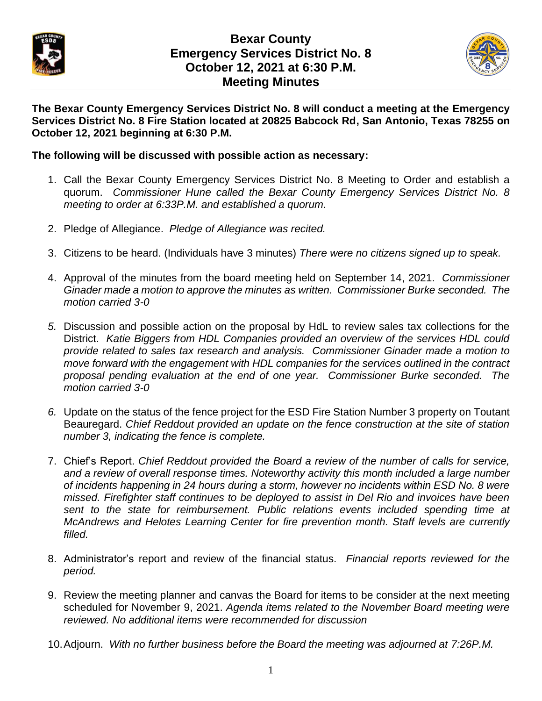

## **Bexar County Emergency Services District No. 8 October 12, 2021 at 6:30 P.M. Meeting Minutes**



**The Bexar County Emergency Services District No. 8 will conduct a meeting at the Emergency Services District No. 8 Fire Station located at 20825 Babcock Rd, San Antonio, Texas 78255 on October 12, 2021 beginning at 6:30 P.M.** 

## **The following will be discussed with possible action as necessary:**

- 1. Call the Bexar County Emergency Services District No. 8 Meeting to Order and establish a quorum. *Commissioner Hune called the Bexar County Emergency Services District No. 8 meeting to order at 6:33P.M. and established a quorum.*
- 2. Pledge of Allegiance. *Pledge of Allegiance was recited.*
- 3. Citizens to be heard. (Individuals have 3 minutes) *There were no citizens signed up to speak.*
- 4. Approval of the minutes from the board meeting held on September 14, 2021. *Commissioner Ginader made a motion to approve the minutes as written. Commissioner Burke seconded. The motion carried 3-0*
- *5.* Discussion and possible action on the proposal by HdL to review sales tax collections for the District. *Katie Biggers from HDL Companies provided an overview of the services HDL could provide related to sales tax research and analysis. Commissioner Ginader made a motion to move forward with the engagement with HDL companies for the services outlined in the contract proposal pending evaluation at the end of one year. Commissioner Burke seconded. The motion carried 3-0*
- *6.* Update on the status of the fence project for the ESD Fire Station Number 3 property on Toutant Beauregard. *Chief Reddout provided an update on the fence construction at the site of station number 3, indicating the fence is complete.*
- 7. Chief's Report. *Chief Reddout provided the Board a review of the number of calls for service, and a review of overall response times. Noteworthy activity this month included a large number of incidents happening in 24 hours during a storm, however no incidents within ESD No. 8 were missed. Firefighter staff continues to be deployed to assist in Del Rio and invoices have been sent to the state for reimbursement. Public relations events included spending time at McAndrews and Helotes Learning Center for fire prevention month. Staff levels are currently filled.*
- 8. Administrator's report and review of the financial status. *Financial reports reviewed for the period.*
- 9. Review the meeting planner and canvas the Board for items to be consider at the next meeting scheduled for November 9, 2021. *Agenda items related to the November Board meeting were reviewed. No additional items were recommended for discussion*
- 10.Adjourn. *With no further business before the Board the meeting was adjourned at 7:26P.M.*